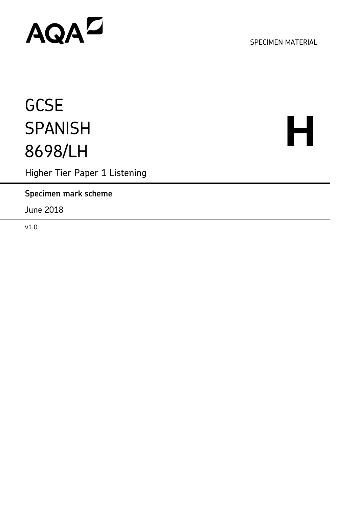## AQAD

SPECIMEN MATERIAL

### **GCSE SPANISH** 8698/LH

# **H**

Higher Tier Paper 1 Listening

**Specimen mark scheme**

June 2018

v1.0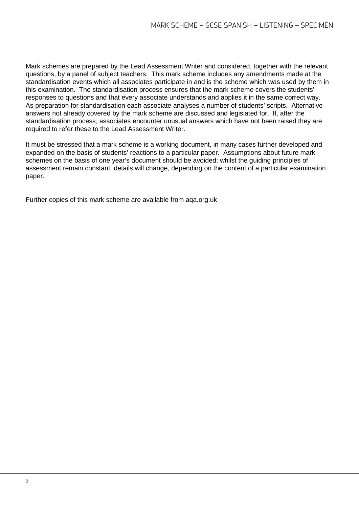Mark schemes are prepared by the Lead Assessment Writer and considered, together with the relevant questions, by a panel of subject teachers. This mark scheme includes any amendments made at the standardisation events which all associates participate in and is the scheme which was used by them in this examination. The standardisation process ensures that the mark scheme covers the students' responses to questions and that every associate understands and applies it in the same correct way. As preparation for standardisation each associate analyses a number of students' scripts. Alternative answers not already covered by the mark scheme are discussed and legislated for. If, after the standardisation process, associates encounter unusual answers which have not been raised they are required to refer these to the Lead Assessment Writer.

It must be stressed that a mark scheme is a working document, in many cases further developed and expanded on the basis of students' reactions to a particular paper. Assumptions about future mark schemes on the basis of one year's document should be avoided; whilst the guiding principles of assessment remain constant, details will change, depending on the content of a particular examination paper.

Further copies of this mark scheme are available from aqa.org.uk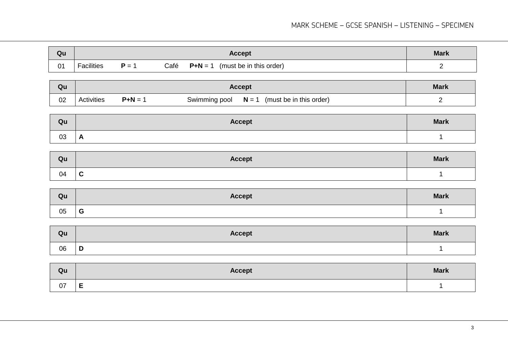#### MARK SCHEME – GCSE SPANISH – LISTENING – SPECIMEN

| Qu                          | <b>Accept</b>     |       | <b>Mark</b> |                                        |   |
|-----------------------------|-------------------|-------|-------------|----------------------------------------|---|
| $\Omega$ <sup>1</sup><br>ັັ | <b>Facilities</b> | $P =$ | Café        | $P + N = 1$<br>(must be in this order) | - |

| Qu |            | Accept  |                                                     | <b>Mark</b> |
|----|------------|---------|-----------------------------------------------------|-------------|
| 02 | Activities | $P+N =$ | $N = 1$<br>Swimming pool<br>(must be in this order) |             |

| Qu | <b>Accept</b> | <b>Mark</b> |
|----|---------------|-------------|
| 03 | A             |             |

| Qu | <b>Accept</b> | <b>Mark</b> |
|----|---------------|-------------|
| 04 | $\mathbf c$   |             |

| Qu | <b>Accept</b> | <b>Mark</b> |
|----|---------------|-------------|
| 05 | $\sim$<br>ט   |             |

| Qu | <b>Accept</b> | <b>Mark</b> |
|----|---------------|-------------|
| 06 | D             |             |

| Qu | <b>Accept</b> | <b>Mark</b> |
|----|---------------|-------------|
| 07 | -<br>-        |             |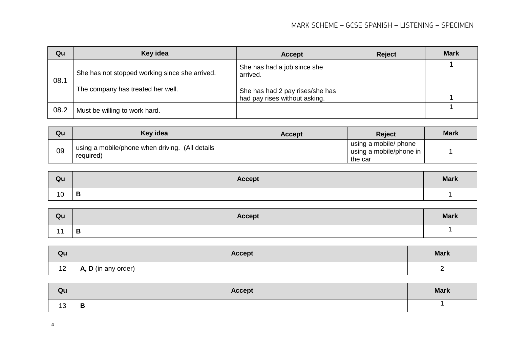| Qu   | Key idea                                                                            | <b>Accept</b>                                                                                               | <b>Reject</b> | <b>Mark</b> |
|------|-------------------------------------------------------------------------------------|-------------------------------------------------------------------------------------------------------------|---------------|-------------|
| 08.1 | She has not stopped working since she arrived.<br>The company has treated her well. | She has had a job since she<br>arrived.<br>She has had 2 pay rises/she has<br>had pay rises without asking. |               |             |
| 08.2 | Must be willing to work hard.                                                       |                                                                                                             |               |             |

| Qu | Key idea                                                     | <b>Accept</b> | <b>Reject</b>                                               | <b>Mark</b> |
|----|--------------------------------------------------------------|---------------|-------------------------------------------------------------|-------------|
| 09 | using a mobile/phone when driving. (All details<br>required) |               | using a mobile/ phone<br>using a mobile/phone in<br>the car |             |

| Qu | <b>Accept</b> | <b>Mark</b> |
|----|---------------|-------------|
| 10 | B             |             |

| Qu             | <b>Accept</b> | <b>Mark</b> |
|----------------|---------------|-------------|
| $\overline{A}$ | Ð<br>D        |             |

| Qu | <b>Accept</b>               | <b>Mark</b> |
|----|-----------------------------|-------------|
| 12 | $\vert$ A, D (in any order) | -           |

| Qu        | Accept | <b>Mark</b> |
|-----------|--------|-------------|
| 12<br>ں ا | B      |             |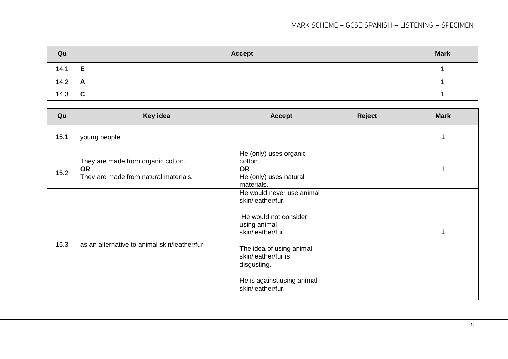#### MARK SCHEME – GCSE SPANISH – LISTENING – SPECIMEN

| Qu   | Accept       | <b>Mark</b> |
|------|--------------|-------------|
| 14.1 | E            |             |
| 14.2 | $\mathsf{A}$ |             |
| 14.3 | $\mathbf{C}$ |             |

| Qu   | Key idea                                                                                 | <b>Accept</b>                                                                                                                                                                                                                     | <b>Reject</b> | <b>Mark</b> |
|------|------------------------------------------------------------------------------------------|-----------------------------------------------------------------------------------------------------------------------------------------------------------------------------------------------------------------------------------|---------------|-------------|
| 15.1 | young people                                                                             |                                                                                                                                                                                                                                   |               | 1           |
| 15.2 | They are made from organic cotton.<br><b>OR</b><br>They are made from natural materials. | He (only) uses organic<br>cotton.<br><b>OR</b><br>He (only) uses natural<br>materials.                                                                                                                                            |               | 1           |
| 15.3 | as an alternative to animal skin/leather/fur                                             | He would never use animal<br>skin/leather/fur.<br>He would not consider<br>using animal<br>skin/leather/fur.<br>The idea of using animal<br>skin/leather/fur is<br>disgusting.<br>He is against using animal<br>skin/leather/fur. |               | 1           |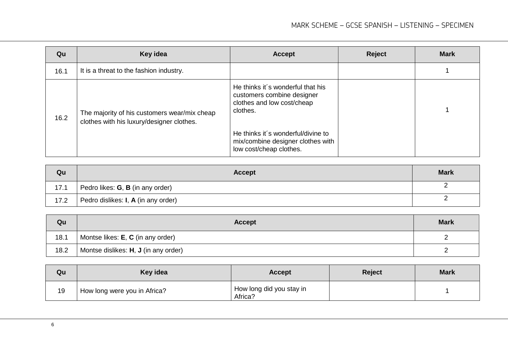| Qu   | Key idea                                                                                  | <b>Accept</b>                                                                                             | Reject | <b>Mark</b> |
|------|-------------------------------------------------------------------------------------------|-----------------------------------------------------------------------------------------------------------|--------|-------------|
| 16.1 | It is a threat to the fashion industry.                                                   |                                                                                                           |        |             |
| 16.2 | The majority of his customers wear/mix cheap<br>clothes with his luxury/designer clothes. | He thinks it's wonderful that his<br>customers combine designer<br>clothes and low cost/cheap<br>clothes. |        |             |
|      |                                                                                           | He thinks it's wonderful/divine to<br>mix/combine designer clothes with<br>low cost/cheap clothes.        |        |             |

| Qu   | Accept                                             | <b>Mark</b> |
|------|----------------------------------------------------|-------------|
| 17.1 | Pedro likes: <b>G</b> , <b>B</b> (in any order)    |             |
| 17.2 | Pedro dislikes: <b>I</b> , <b>A</b> (in any order) |             |

| Qu   | <b>Accept</b>                                    | <b>Mark</b> |
|------|--------------------------------------------------|-------------|
| 18.1 | Montse likes: <b>E</b> , <b>C</b> (in any order) |             |
| 18.2 | Montse dislikes: H, J (in any order)             | <u>. </u>   |

| Qu | Key idea                     | <b>Accept</b>                       | <b>Reject</b> | <b>Mark</b> |
|----|------------------------------|-------------------------------------|---------------|-------------|
| 19 | How long were you in Africa? | How long did you stay in<br>Africa? |               |             |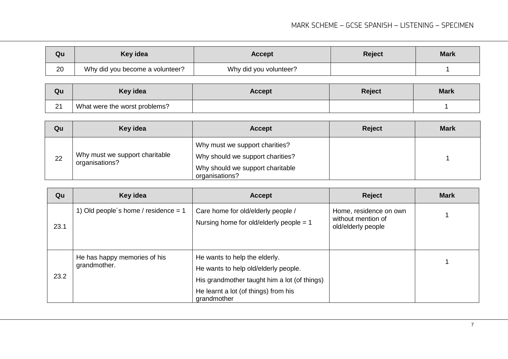#### MARK SCHEME – GCSE SPANISH – LISTENING – SPECIMEN

| Qu | Key idea                        | <b>Accept</b>          | <b>Reject</b> | <b>Mark</b> |
|----|---------------------------------|------------------------|---------------|-------------|
| 20 | Why did you become a volunteer? | Why did you volunteer? |               |             |

| Qu        | Key idea                      | <b>Accept</b> | Reject | <b>Mark</b> |
|-----------|-------------------------------|---------------|--------|-------------|
| 21<br>، ے | What were the worst problems? |               |        |             |

| Qu | Key idea                                         | <b>Accept</b>                                                                                                            | <b>Reject</b> | <b>Mark</b> |
|----|--------------------------------------------------|--------------------------------------------------------------------------------------------------------------------------|---------------|-------------|
| 22 | Why must we support charitable<br>organisations? | Why must we support charities?<br>Why should we support charities?<br>Why should we support charitable<br>organisations? |               |             |

| Qu   | Key idea                                     | <b>Accept</b>                                                                                                                                                                | <b>Reject</b>                                                      | <b>Mark</b> |
|------|----------------------------------------------|------------------------------------------------------------------------------------------------------------------------------------------------------------------------------|--------------------------------------------------------------------|-------------|
| 23.1 | 1) Old people's home / residence = $1$       | Care home for old/elderly people /<br>Nursing home for old/elderly people $= 1$                                                                                              | Home, residence on own<br>without mention of<br>old/elderly people |             |
| 23.2 | He has happy memories of his<br>grandmother. | He wants to help the elderly.<br>He wants to help old/elderly people.<br>His grandmother taught him a lot (of things)<br>He learnt a lot (of things) from his<br>grandmother |                                                                    |             |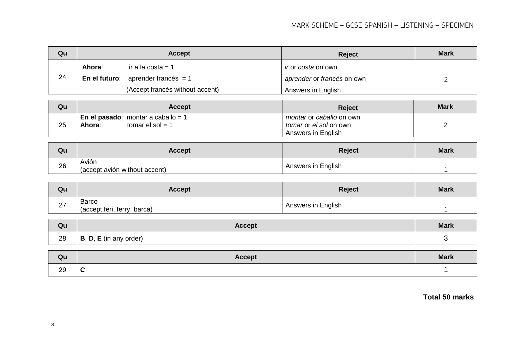| Qu | <b>Accept</b> |                                            | <b>Reject</b>                    | <b>Mark</b> |
|----|---------------|--------------------------------------------|----------------------------------|-------------|
|    | Ahora:        | ir a la costa = 1                          | <i>ir</i> or <i>costa</i> on own |             |
| 24 |               | <b>En el futuro</b> : aprender francés = 1 | aprender or francés on own       |             |
|    |               | (Accept francés without accent)            | Answers in English               |             |

| Qu | <b>Accept</b>                                                            | <b>Reject</b>                                                                          | <b>Mark</b> |
|----|--------------------------------------------------------------------------|----------------------------------------------------------------------------------------|-------------|
| 25 | <b>En el pasado</b> : montar a caballo = 1<br>tomar el sol = 1<br>Ahora: | <i>montar</i> or <i>caballo</i> on own<br>tomar or el sol on own<br>Answers in English |             |

| Qu | Accept                                 | <b>Reject</b>      | <b>Mark</b> |
|----|----------------------------------------|--------------------|-------------|
| 26 | Avión<br>(accept avión without accent) | Answers in English |             |

| Qu | <b>Accept</b>                               | <b>Reject</b>      | <b>Mark</b> |
|----|---------------------------------------------|--------------------|-------------|
| 27 | <b>Barco</b><br>(accept feri, ferry, barca) | Answers in English |             |

| Qu | <b>Accept</b>                  | <b>Mark</b> |
|----|--------------------------------|-------------|
| 28 | , E (in any order)<br>D,<br>В, |             |

| Qu | <b>Accept</b> | <b>Mark</b> |
|----|---------------|-------------|
| 29 | <u>u</u>      |             |

**Total 50 marks**